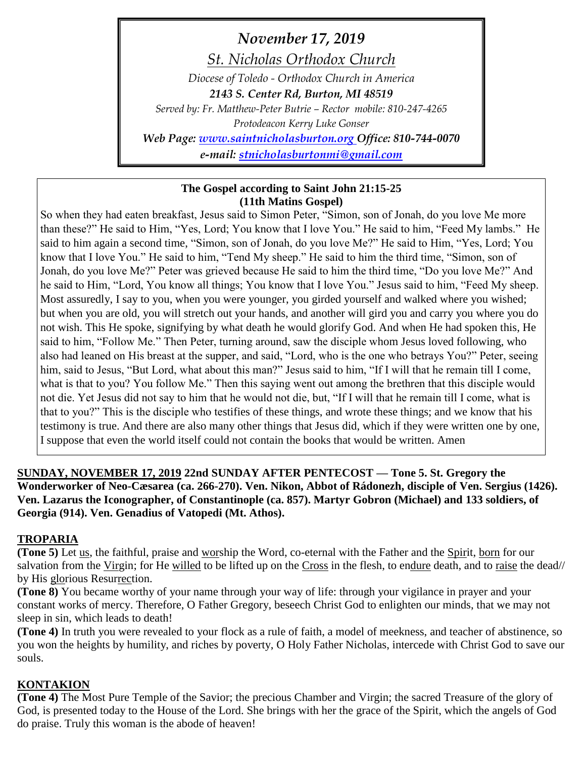*November 17, 2019 St. Nicholas Orthodox Church Diocese of Toledo - Orthodox Church in America 2143 S. Center Rd, Burton, MI 48519 Served by: Fr. Matthew-Peter Butrie – Rector mobile: 810-247-4265 Protodeacon Kerry Luke Gonser Web Page: [www.saintnicholasburton.org](http://www.saintnicholasburton.org/) Office: 810-744-0070 e-mail: [stnicholasburtonmi@gmail.com](mailto:stnicholasburtonmi@gmail.com)*

#### **The Gospel according to Saint John 21:15-25 (11th Matins Gospel)**

So when they had eaten breakfast, Jesus said to Simon Peter, "Simon, son of Jonah, do you love Me more than these?" He said to Him, "Yes, Lord; You know that I love You." He said to him, "Feed My lambs." He said to him again a second time, "Simon, son of Jonah, do you love Me?" He said to Him, "Yes, Lord; You know that I love You." He said to him, "Tend My sheep." He said to him the third time, "Simon, son of Jonah, do you love Me?" Peter was grieved because He said to him the third time, "Do you love Me?" And he said to Him, "Lord, You know all things; You know that I love You." Jesus said to him, "Feed My sheep. Most assuredly, I say to you, when you were younger, you girded yourself and walked where you wished; but when you are old, you will stretch out your hands, and another will gird you and carry you where you do not wish. This He spoke, signifying by what death he would glorify God. And when He had spoken this, He said to him, "Follow Me." Then Peter, turning around, saw the disciple whom Jesus loved following, who also had leaned on His breast at the supper, and said, "Lord, who is the one who betrays You?" Peter, seeing him, said to Jesus, "But Lord, what about this man?" Jesus said to him, "If I will that he remain till I come, what is that to you? You follow Me." Then this saying went out among the brethren that this disciple would not die. Yet Jesus did not say to him that he would not die, but, "If I will that he remain till I come, what is that to you?" This is the disciple who testifies of these things, and wrote these things; and we know that his testimony is true. And there are also many other things that Jesus did, which if they were written one by one, I suppose that even the world itself could not contain the books that would be written. Amen

**SUNDAY, NOVEMBER 17, 2019 22nd SUNDAY AFTER PENTECOST — Tone 5. St. Gregory the Wonderworker of Neo-Cæsarea (ca. 266-270). Ven. Nikon, Abbot of Rádonezh, disciple of Ven. Sergius (1426). Ven. Lazarus the Iconographer, of Constantinople (ca. 857). Martyr Gobron (Michael) and 133 soldiers, of Georgia (914). Ven. Genadius of Vatopedi (Mt. Athos).**

## **TROPARIA**

**(Tone 5)** Let us, the faithful, praise and worship the Word, co-eternal with the Father and the Spirit, born for our salvation from the Virgin; for He willed to be lifted up on the Cross in the flesh, to endure death, and to raise the dead// by His glorious Resurrection.

**(Tone 8)** You became worthy of your name through your way of life: through your vigilance in prayer and your constant works of mercy. Therefore, O Father Gregory, beseech Christ God to enlighten our minds, that we may not sleep in sin, which leads to death!

**(Tone 4)** In truth you were revealed to your flock as a rule of faith, a model of meekness, and teacher of abstinence, so you won the heights by humility, and riches by poverty, O Holy Father Nicholas, intercede with Christ God to save our souls.

## **KONTAKION**

**(Tone 4)** The Most Pure Temple of the Savior; the precious Chamber and Virgin; the sacred Treasure of the glory of God, is presented today to the House of the Lord. She brings with her the grace of the Spirit, which the angels of God do praise. Truly this woman is the abode of heaven!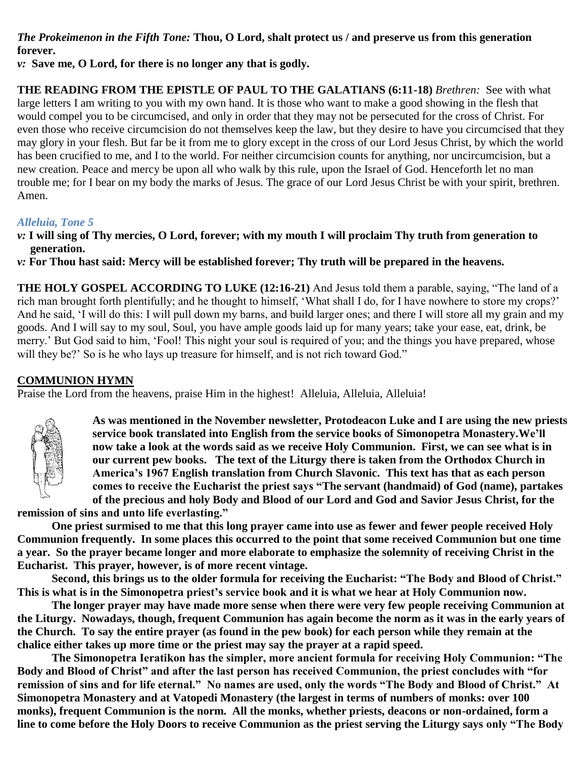*The Prokeimenon in the Fifth Tone:* **Thou, O Lord, shalt protect us / and preserve us from this generation forever.**

*v:* **Save me, O Lord, for there is no longer any that is godly.** 

**THE READING FROM THE EPISTLE OF PAUL TO THE GALATIANS (6:11-18)** *Brethren:* See with what large letters I am writing to you with my own hand. It is those who want to make a good showing in the flesh that would compel you to be circumcised, and only in order that they may not be persecuted for the cross of Christ. For even those who receive circumcision do not themselves keep the law, but they desire to have you circumcised that they may glory in your flesh. But far be it from me to glory except in the cross of our Lord Jesus Christ, by which the world has been crucified to me, and I to the world. For neither circumcision counts for anything, nor uncircumcision, but a new creation. Peace and mercy be upon all who walk by this rule, upon the Israel of God. Henceforth let no man trouble me; for I bear on my body the marks of Jesus. The grace of our Lord Jesus Christ be with your spirit, brethren. Amen.

## *Alleluia, Tone 5*

*v:* **I will sing of Thy mercies, O Lord, forever; with my mouth I will proclaim Thy truth from generation to generation.**

*v:* **For Thou hast said: Mercy will be established forever; Thy truth will be prepared in the heavens.**

**THE HOLY GOSPEL ACCORDING TO LUKE (12:16-21)** And Jesus told them a parable, saying, "The land of a rich man brought forth plentifully; and he thought to himself, 'What shall I do, for I have nowhere to store my crops?' And he said, 'I will do this: I will pull down my barns, and build larger ones; and there I will store all my grain and my goods. And I will say to my soul, Soul, you have ample goods laid up for many years; take your ease, eat, drink, be merry.' But God said to him, 'Fool! This night your soul is required of you; and the things you have prepared, whose will they be?' So is he who lays up treasure for himself, and is not rich toward God."

## **COMMUNION HYMN**

Praise the Lord from the heavens, praise Him in the highest! Alleluia, Alleluia, Alleluia!



**As was mentioned in the November newsletter, Protodeacon Luke and I are using the new priests service book translated into English from the service books of Simonopetra Monastery.We'll now take a look at the words said as we receive Holy Communion. First, we can see what is in our current pew books. The text of the Liturgy there is taken from the Orthodox Church in America's 1967 English translation from Church Slavonic. This text has that as each person comes to receive the Eucharist the priest says "The servant (handmaid) of God (name), partakes of the precious and holy Body and Blood of our Lord and God and Savior Jesus Christ, for the** 

**remission of sins and unto life everlasting."**

**One priest surmised to me that this long prayer came into use as fewer and fewer people received Holy Communion frequently. In some places this occurred to the point that some received Communion but one time a year. So the prayer became longer and more elaborate to emphasize the solemnity of receiving Christ in the Eucharist. This prayer, however, is of more recent vintage.**

**Second, this brings us to the older formula for receiving the Eucharist: "The Body and Blood of Christ." This is what is in the Simonopetra priest's service book and it is what we hear at Holy Communion now.**

**The longer prayer may have made more sense when there were very few people receiving Communion at the Liturgy. Nowadays, though, frequent Communion has again become the norm as it was in the early years of the Church. To say the entire prayer (as found in the pew book) for each person while they remain at the chalice either takes up more time or the priest may say the prayer at a rapid speed.**

**The Simonopetra Ieratikon has the simpler, more ancient formula for receiving Holy Communion: "The Body and Blood of Christ" and after the last person has received Communion, the priest concludes with "for remission of sins and for life eternal." No names are used, only the words "The Body and Blood of Christ." At Simonopetra Monastery and at Vatopedi Monastery (the largest in terms of numbers of monks: over 100 monks), frequent Communion is the norm. All the monks, whether priests, deacons or non-ordained, form a line to come before the Holy Doors to receive Communion as the priest serving the Liturgy says only "The Body**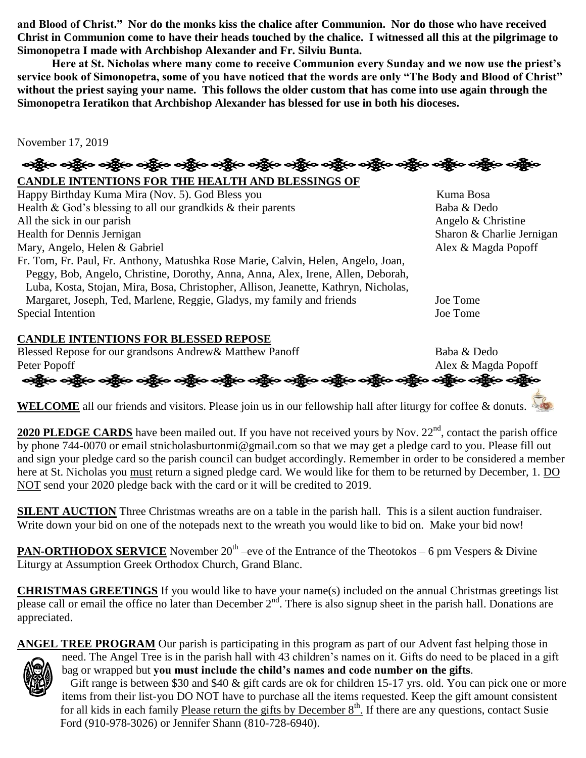**and Blood of Christ." Nor do the monks kiss the chalice after Communion. Nor do those who have received Christ in Communion come to have their heads touched by the chalice. I witnessed all this at the pilgrimage to Simonopetra I made with Archbishop Alexander and Fr. Silviu Bunta.**

**Here at St. Nicholas where many come to receive Communion every Sunday and we now use the priest's service book of Simonopetra, some of you have noticed that the words are only "The Body and Blood of Christ" without the priest saying your name. This follows the older custom that has come into use again through the Simonopetra Ieratikon that Archbishop Alexander has blessed for use in both his dioceses.**

November 17, 2019

ခရွို့က ခရွိက သန္တို့က ခရွိက သန္တို့က ခရွိက ခရွိက ခရွိက ခရွိက သန္တို့က သန္တို့က ခရွိက ခရွိက ခရွိက

**CANDLE INTENTIONS FOR THE HEALTH AND BLESSINGS OF** 

| Happy Birthday Kuma Mira (Nov. 5). God Bless you                                    | Kuma Bosa                 |
|-------------------------------------------------------------------------------------|---------------------------|
| Health & God's blessing to all our grandkids $\&$ their parents                     | Baba & Dedo               |
| All the sick in our parish                                                          | Angelo & Christine        |
| Health for Dennis Jernigan                                                          | Sharon & Charlie Jernigan |
| Mary, Angelo, Helen & Gabriel                                                       | Alex & Magda Popoff       |
| Fr. Tom, Fr. Paul, Fr. Anthony, Matushka Rose Marie, Calvin, Helen, Angelo, Joan,   |                           |
| Peggy, Bob, Angelo, Christine, Dorothy, Anna, Anna, Alex, Irene, Allen, Deborah,    |                           |
| Luba, Kosta, Stojan, Mira, Bosa, Christopher, Allison, Jeanette, Kathryn, Nicholas, |                           |
| Margaret, Joseph, Ted, Marlene, Reggie, Gladys, my family and friends               | Joe Tome                  |
| Special Intention                                                                   | Joe Tome                  |

# **CANDLE INTENTIONS FOR BLESSED REPOSE**

Blessed Repose for our grandsons Andrew& Matthew Panoff Baba & Dedo

Peter Popoff<br>Peter Popoff<br>ح<del>کو</del>ید ح<del>کو</del>ید ح<del>کو</del>ید حجود مختصر Alex & Magda Popoff

**WELCOME** all our friends and visitors. Please join us in our fellowship hall after liturgy for coffee & donuts.

2020 PLEDGE CARDS have been mailed out. If you have not received yours by Nov. 22<sup>nd</sup>, contact the parish office by phone 744-0070 or email [stnicholasburtonmi@gmail.com](mailto:stnicholasburtonmi@gmail.com) so that we may get a pledge card to you. Please fill out and sign your pledge card so the parish council can budget accordingly. Remember in order to be considered a member here at St. Nicholas you must return a signed pledge card. We would like for them to be returned by December, 1. DO NOT send your 2020 pledge back with the card or it will be credited to 2019.

**SILENT AUCTION** Three Christmas wreaths are on a table in the parish hall. This is a silent auction fundraiser. Write down your bid on one of the notepads next to the wreath you would like to bid on. Make your bid now!

**PAN-ORTHODOX SERVICE** November 20<sup>th</sup> –eve of the Entrance of the Theotokos – 6 pm Vespers & Divine Liturgy at Assumption Greek Orthodox Church, Grand Blanc.

**CHRISTMAS GREETINGS** If you would like to have your name(s) included on the annual Christmas greetings list please call or email the office no later than December  $2<sup>nd</sup>$ . There is also signup sheet in the parish hall. Donations are appreciated.

**ANGEL TREE PROGRAM** Our parish is participating in this program as part of our Advent fast helping those in need. The Angel Tree is in the parish hall with 43 children's names on it. Gifts do need to be placed in a gift bag or wrapped but **you must include the child's names and code number on the gifts**.

Gift range is between \$30 and \$40 & gift cards are ok for children 15-17 yrs. old. You can pick one or more items from their list-you DO NOT have to purchase all the items requested. Keep the gift amount consistent for all kids in each family Please return the gifts by December 8<sup>th</sup>. If there are any questions, contact Susie Ford (910-978-3026) or Jennifer Shann (810-728-6940).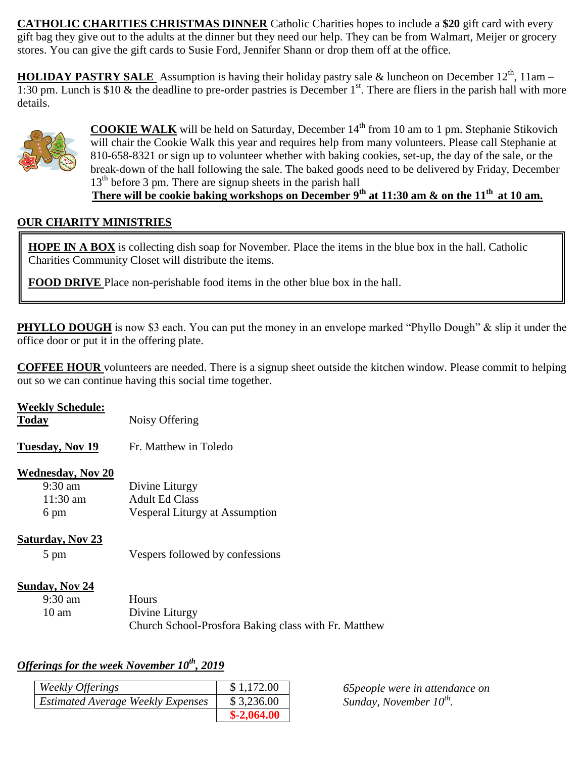**CATHOLIC CHARITIES CHRISTMAS DINNER** Catholic Charities hopes to include a **\$20** gift card with every gift bag they give out to the adults at the dinner but they need our help. They can be from Walmart, Meijer or grocery stores. You can give the gift cards to Susie Ford, Jennifer Shann or drop them off at the office.

**HOLIDAY PASTRY SALE** Assumption is having their holiday pastry sale & luncheon on December 12<sup>th</sup>, 11am – 1:30 pm. Lunch is \$10 & the deadline to pre-order pastries is December  $1<sup>st</sup>$ . There are fliers in the parish hall with more details.



**COOKIE WALK** will be held on Saturday, December 14<sup>th</sup> from 10 am to 1 pm. Stephanie Stikovich will chair the Cookie Walk this year and requires help from many volunteers. Please call Stephanie at 810-658-8321 or sign up to volunteer whether with baking cookies, set-up, the day of the sale, or the break-down of the hall following the sale. The baked goods need to be delivered by Friday, December 13<sup>th</sup> before 3 pm. There are signup sheets in the parish hall

# **There will be cookie baking workshops on December 9th at 11:30 am & on the 11th at 10 am.**

# **OUR CHARITY MINISTRIES**

**HOPE IN A BOX** is collecting dish soap for November. Place the items in the blue box in the hall. Catholic Charities Community Closet will distribute the items.

**FOOD DRIVE** Place non-perishable food items in the other blue box in the hall.

**PHYLLO DOUGH** is now \$3 each. You can put the money in an envelope marked "Phyllo Dough" & slip it under the office door or put it in the offering plate.

**COFFEE HOUR** volunteers are needed. There is a signup sheet outside the kitchen window. Please commit to helping out so we can continue having this social time together.

| <b>Weekly Schedule:</b><br><b>Today</b>                     | Noisy Offering                                                                  |
|-------------------------------------------------------------|---------------------------------------------------------------------------------|
| Tuesday, Nov 19                                             | Fr. Matthew in Toledo                                                           |
| <b>Wednesday, Nov 20</b><br>$9:30$ am<br>$11:30$ am<br>6 pm | Divine Liturgy<br><b>Adult Ed Class</b><br>Vesperal Liturgy at Assumption       |
| <b>Saturday, Nov 23</b><br>5 pm                             | Vespers followed by confessions                                                 |
| Sunday, Nov 24<br>$9:30$ am<br>$10 \text{ am}$              | Hours<br>Divine Liturgy<br>Church School-Prosfora Baking class with Fr. Matthew |

## *Offerings for the week November 10th, 2019*

| Weekly Offerings                         | \$1,172.00   |
|------------------------------------------|--------------|
| <b>Estimated Average Weekly Expenses</b> | \$3,236.00   |
|                                          | $$-2,064.00$ |

*65people were in attendance on Sunday, November 10th .*